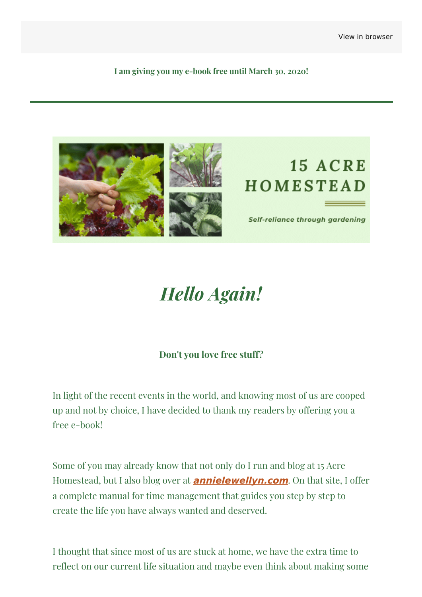**I am giving you my e-book free until March 30, 2020!**



# *Hello Again!*

### **Don't you love free stuff?**

In light of the recent events in the world, and knowing most of us are cooped up and not by choice, I have decided to thank my readers by offering you a free e-book!

Some of you may already know that not only do I run and blog at 15 Acre Homestead, but I also blog over at **[annielewellyn.com](https://annielewellyn.com/?&utm_source=newsletter&utm_medium=email&utm_campaign=im_giving_away_my_e_book_for_free&utm_term=2020-03-25)**. On that site, I offer a complete manual for time management that guides you step by step to create the life you have always wanted and deserved.

I thought that since most of us are stuck at home, we have the extra time to reflect on our current life situation and maybe even think about making some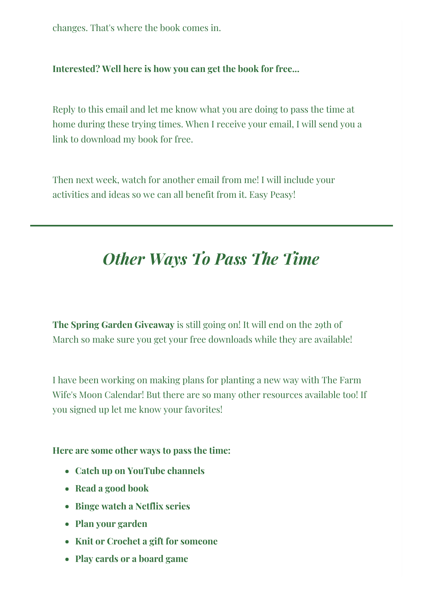changes. That's where the book comes in.

#### **Interested? Well here is how you can get the book for free...**

Reply to this email and let me know what you are doing to pass the time at home during these trying times. When I receive your email, I will send you a link to download my book for free.

Then next week, watch for another email from me! I will include your activities and ideas so we can all benefit from it. Easy Peasy!

## *Other Ways To Pass The Time*

**The Spring Garden Giveaway** is still going on! It will end on the 29th of March so make sure you get your free downloads while they are available!

I have been working on making plans for planting a new way with The Farm Wife's Moon Calendar! But there are so many other resources available too! If you signed up let me know your favorites!

#### **Here are some other ways to pass the time:**

- **Catch up on YouTube channels**
- **Read a good book**
- **Binge watch a Netflix series**
- **Plan your garden**
- **Knit or Crochet a gift for someone**
- **Play cards or a board game**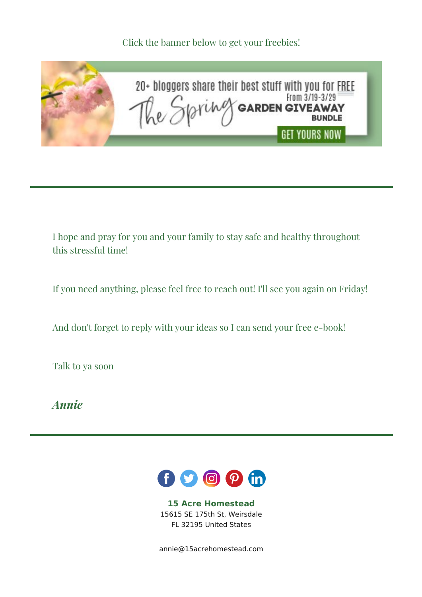Click the banner below to get your freebies!



I hope and pray for you and your family to stay safe and healthy throughout this stressful time!

If you need anything, please feel free to reach out! I'll see you again on Friday!

And don't forget to reply with your ideas so I can send your free e-book!

Talk to ya soon

*Annie*



**15 Acre Homestead** 15615 SE 175th St, Weirsdale FL 32195 United States

[annie@15acrehomestead.com](mailto:annie@15acrehomestead.com)